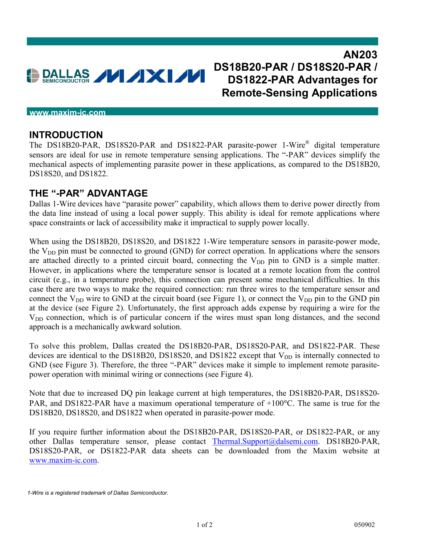

## **<www.maxim-ic.com>**

## **INTRODUCTION**

The DS18B20-PAR, DS18S20-PAR and DS1822-PAR parasite-power 1-Wire® digital temperature sensors are ideal for use in remote temperature sensing applications. The "-PAR" devices simplify the mechanical aspects of implementing parasite power in these applications, as compared to the DS18B20, DS18S20, and DS1822.

## **THE "-PAR" ADVANTAGE**

Dallas 1-Wire devices have "parasite power" capability, which allows them to derive power directly from the data line instead of using a local power supply. This ability is ideal for remote applications where space constraints or lack of accessibility make it impractical to supply power locally.

When using the DS18B20, DS18S20, and DS1822 1-Wire temperature sensors in parasite-power mode, the  $V_{DD}$  pin must be connected to ground (GND) for correct operation. In applications where the sensors are attached directly to a printed circuit board, connecting the  $V_{DD}$  pin to GND is a simple matter. However, in applications where the temperature sensor is located at a remote location from the control circuit (e.g., in a temperature probe), this connection can present some mechanical difficulties. In this case there are two ways to make the required connection: run three wires to the temperature sensor and connect the  $V_{DD}$  wire to GND at the circuit board (see Figure 1), or connect the  $V_{DD}$  pin to the GND pin at the device (see Figure 2). Unfortunately, the first approach adds expense by requiring a wire for the V<sub>DD</sub> connection, which is of particular concern if the wires must span long distances, and the second approach is a mechanically awkward solution.

To solve this problem, Dallas created the DS18B20-PAR, DS18S20-PAR, and DS1822-PAR. These devices are identical to the DS18B20, DS18S20, and DS1822 except that  $V_{DD}$  is internally connected to GND (see Figure 3). Therefore, the three "-PAR" devices make it simple to implement remote parasitepower operation with minimal wiring or connections (see Figure 4).

Note that due to increased DQ pin leakage current at high temperatures, the DS18B20-PAR, DS18S20- PAR, and DS1822-PAR have a maximum operational temperature of  $+100^{\circ}$ C. The same is true for the DS18B20, DS18S20, and DS1822 when operated in parasite-power mode.

If you require further information about the DS18B20-PAR, DS18S20-PAR, or DS1822-PAR, or any other Dallas temperature sensor, please contact Thermal.Support@dalsemi.com. DS18B20-PAR, DS18S20-PAR, or DS1822-PAR data sheets can be downloaded from the Maxim website at [www.maxim-ic.com.](www.maxim-ic.com)

*<sup>1-</sup>Wire is a registered trademark of Dallas Semiconductor.*